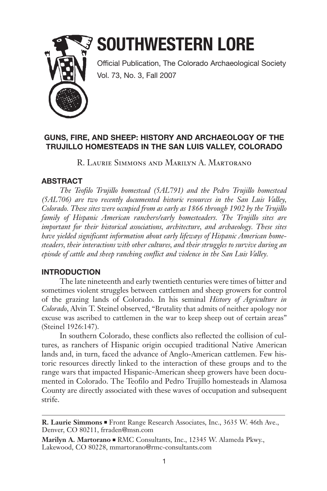

# **SOUTHWESTERN LORE**

Official Publication, The Colorado Archaeological Society Vol. 73, No. 3, Fall 2007

# **GUNS, FIRE, AND SHEEP: HISTORY AND ARCHAEOLOGY OF THE TRUJILLO HOMESTEADS IN THE SAN LUIS VALLEY, COLORADO**

R. Laurie Simmons and Marilyn A. Martorano

# **ABSTRACT**

*The Teofilo Trujillo homestead (5AL791) and the Pedro Trujillo homestead (5AL706) are two recently documented historic resources in the San Luis Valley, Colorado. These sites were occupied from as early as 1866 through 1902 by the Trujillo family of Hispanic American ranchers/early homesteaders. The Trujillo sites are important for their historical associations, architecture, and archaeology. These sites have yielded significant information about early lifeways of Hispanic American homesteaders, their interactions with other cultures, and their struggles to survive during an episode of cattle and sheep ranching conflict and violence in the San Luis Valley.*

# **INTRODUCTION**

The late nineteenth and early twentieth centuries were times of bitter and sometimes violent struggles between cattlemen and sheep growers for control of the grazing lands of Colorado. In his seminal *History of Agriculture in Colorado*, Alvin T. Steinel observed, "Brutality that admits of neither apology nor excuse was ascribed to cattlemen in the war to keep sheep out of certain areas" (Steinel 1926:147).

In southern Colorado, these conflicts also reflected the collision of cultures, as ranchers of Hispanic origin occupied traditional Native American lands and, in turn, faced the advance of Anglo-American cattlemen. Few historic resources directly linked to the interaction of these groups and to the range wars that impacted Hispanic-American sheep growers have been documented in Colorado. The Teofilo and Pedro Trujillo homesteads in Alamosa County are directly associated with these waves of occupation and subsequent strife.

**R. Laurie Simmons** ■ Front Range Research Associates, Inc., 3635 W. 46th Ave., Denver, CO 80211, frraden@msn.com

**Marilyn A. Martorano** ■ RMC Consultants, Inc., 12345 W. Alameda Pkwy., Lakewood, CO 80228, mmartorano@rmc-consultants.com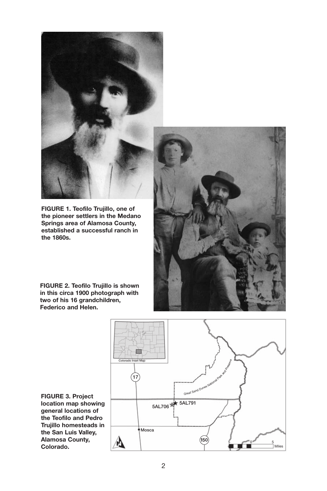

**FIGURE 1. Teofilo Trujillo, one of the pioneer settlers in the Medano Springs area of Alamosa County, established a successful ranch in the 1860s.**



**FIGURE 2. Teofilo Trujillo is shown in this circa 1900 photograph with two of his 16 grandchildren, Federico and Helen.**



**FIGURE 3. Project location map showing general locations of the Teofilo and Pedro Trujillo homesteads in the San Luis Valley, Alamosa County, Colorado.**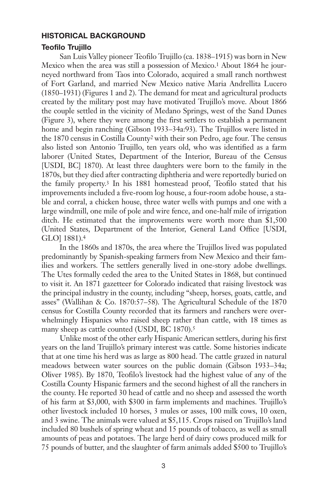## **HISTORICAL BACKGROUND**

#### **Teofilo Trujillo**

San Luis Valley pioneer Teofilo Trujillo (ca. 1838–1915) was born in New Mexico when the area was still a possession of Mexico.1 About 1864 he journeyed northward from Taos into Colorado, acquired a small ranch northwest of Fort Garland, and married New Mexico native Maria Andrellita Lucero (1850–1931) (Figures 1 and 2). The demand for meat and agricultural products created by the military post may have motivated Trujillo's move. About 1866 the couple settled in the vicinity of Medano Springs, west of the Sand Dunes (Figure 3), where they were among the first settlers to establish a permanent home and begin ranching (Gibson 1933–34a:93). The Trujillos were listed in the 1870 census in Costilla County2 with their son Pedro, age four. The census also listed son Antonio Trujillo, ten years old, who was identified as a farm laborer (United States, Department of the Interior, Bureau of the Census [USDI, BC] 1870). At least three daughters were born to the family in the 1870s, but they died after contracting diphtheria and were reportedly buried on the family property.3 In his 1881 homestead proof, Teofilo stated that his improvements included a five-room log house, a four-room adobe house, a stable and corral, a chicken house, three water wells with pumps and one with a large windmill, one mile of pole and wire fence, and one-half mile of irrigation ditch. He estimated that the improvements were worth more than \$1,500 (United States, Department of the Interior, General Land Office [USDI, GLO] 1881).4

In the 1860s and 1870s, the area where the Trujillos lived was populated predominantly by Spanish-speaking farmers from New Mexico and their families and workers. The settlers generally lived in one-story adobe dwellings. The Utes formally ceded the area to the United States in 1868, but continued to visit it. An 1871 gazetteer for Colorado indicated that raising livestock was the principal industry in the county, including "sheep, horses, goats, cattle, and asses" (Wallihan & Co. 1870:57–58). The Agricultural Schedule of the 1870 census for Costilla County recorded that its farmers and ranchers were overwhelmingly Hispanics who raised sheep rather than cattle, with 18 times as many sheep as cattle counted (USDI, BC 1870).5

Unlike most of the other early Hispanic American settlers, during his first years on the land Trujillo's primary interest was cattle. Some histories indicate that at one time his herd was as large as 800 head. The cattle grazed in natural meadows between water sources on the public domain (Gibson 1933–34a; Oliver 1985). By 1870, Teofilo's livestock had the highest value of any of the Costilla County Hispanic farmers and the second highest of all the ranchers in the county. He reported 30 head of cattle and no sheep and assessed the worth of his farm at \$3,000, with \$300 in farm implements and machines. Trujillo's other livestock included 10 horses, 3 mules or asses, 100 milk cows, 10 oxen, and 3 swine. The animals were valued at \$5,115. Crops raised on Trujillo's land included 80 bushels of spring wheat and 15 pounds of tobacco, as well as small amounts of peas and potatoes. The large herd of dairy cows produced milk for 75 pounds of butter, and the slaughter of farm animals added \$500 to Trujillo's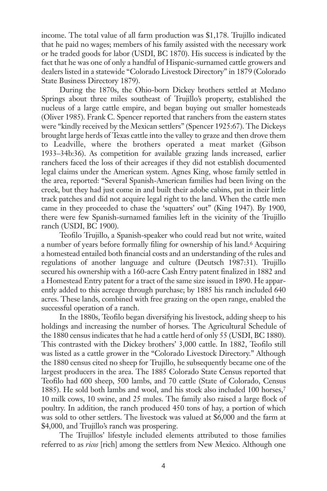income. The total value of all farm production was \$1,178. Trujillo indicated that he paid no wages; members of his family assisted with the necessary work or he traded goods for labor (USDI, BC 1870). His success is indicated by the fact that he was one of only a handful of Hispanic-surnamed cattle growers and dealers listed in a statewide "Colorado Livestock Directory" in 1879 (Colorado State Business Directory 1879).

During the 1870s, the Ohio-born Dickey brothers settled at Medano Springs about three miles southeast of Trujillo's property, established the nucleus of a large cattle empire, and began buying out smaller homesteads (Oliver 1985). Frank C. Spencer reported that ranchers from the eastern states were "kindly received by the Mexican settlers" (Spencer 1925:67). The Dickeys brought large herds of Texas cattle into the valley to graze and then drove them to Leadville, where the brothers operated a meat market (Gibson 1933–34b:36). As competition for available grazing lands increased, earlier ranchers faced the loss of their acreages if they did not establish documented legal claims under the American system. Agnes King, whose family settled in the area, reported: "Several Spanish-American families had been living on the creek, but they had just come in and built their adobe cabins, put in their little track patches and did not acquire legal right to the land. When the cattle men came in they proceeded to chase the 'squatters' out" (King 1947). By 1900, there were few Spanish-surnamed families left in the vicinity of the Trujillo ranch (USDI, BC 1900).

Teofilo Trujillo, a Spanish-speaker who could read but not write, waited a number of years before formally filing for ownership of his land.6 Acquiring a homestead entailed both financial costs and an understanding of the rules and regulations of another language and culture (Deutsch 1987:31). Trujillo secured his ownership with a 160-acre Cash Entry patent finalized in 1882 and a Homestead Entry patent for a tract of the same size issued in 1890. He apparently added to this acreage through purchase; by 1885 his ranch included 640 acres. These lands, combined with free grazing on the open range, enabled the successful operation of a ranch.

In the 1880s, Teofilo began diversifying his livestock, adding sheep to his holdings and increasing the number of horses. The Agricultural Schedule of the 1880 census indicates that he had a cattle herd of only 55 (USDI, BC 1880). This contrasted with the Dickey brothers' 3,000 cattle. In 1882, Teofilo still was listed as a cattle grower in the "Colorado Livestock Directory." Although the 1880 census cited no sheep for Trujillo, he subsequently became one of the largest producers in the area. The 1885 Colorado State Census reported that Teofilo had 600 sheep, 500 lambs, and 70 cattle (State of Colorado, Census 1885). He sold both lambs and wool, and his stock also included 100 horses,7 10 milk cows, 10 swine, and 25 mules. The family also raised a large flock of poultry. In addition, the ranch produced 450 tons of hay, a portion of which was sold to other settlers. The livestock was valued at \$6,000 and the farm at \$4,000, and Trujillo's ranch was prospering.

The Trujillos' lifestyle included elements attributed to those families referred to as *ricos* [rich] among the settlers from New Mexico. Although one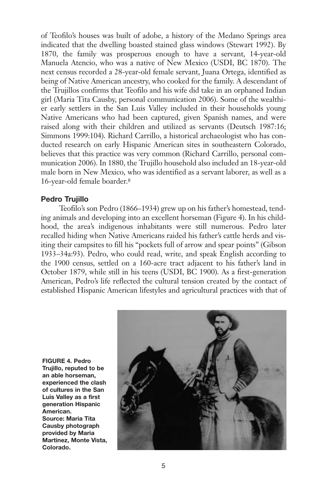of Teofilo's houses was built of adobe, a history of the Medano Springs area indicated that the dwelling boasted stained glass windows (Stewart 1992). By 1870, the family was prosperous enough to have a servant, 14-year-old Manuela Atencio, who was a native of New Mexico (USDI, BC 1870). The next census recorded a 28-year-old female servant, Juana Ortega, identified as being of Native American ancestry, who cooked for the family. A descendant of the Trujillos confirms that Teofilo and his wife did take in an orphaned Indian girl (Maria Tita Causby, personal communication 2006). Some of the wealthier early settlers in the San Luis Valley included in their households young Native Americans who had been captured, given Spanish names, and were raised along with their children and utilized as servants (Deutsch 1987:16; Simmons 1999:104). Richard Carrillo, a historical archaeologist who has conducted research on early Hispanic American sites in southeastern Colorado, believes that this practice was very common (Richard Carrillo, personal communication 2006). In 1880, the Trujillo household also included an 18-year-old male born in New Mexico, who was identified as a servant laborer, as well as a 16-year-old female boarder.8

#### **Pedro Trujillo**

Teofilo's son Pedro (1866–1934) grew up on his father's homestead, tending animals and developing into an excellent horseman (Figure 4). In his childhood, the area's indigenous inhabitants were still numerous. Pedro later recalled hiding when Native Americans raided his father's cattle herds and visiting their campsites to fill his "pockets full of arrow and spear points" (Gibson 1933–34a:93). Pedro, who could read, write, and speak English according to the 1900 census, settled on a 160-acre tract adjacent to his father's land in October 1879, while still in his teens (USDI, BC 1900). As a first-generation American, Pedro's life reflected the cultural tension created by the contact of established Hispanic American lifestyles and agricultural practices with that of

**FIGURE 4. Pedro Trujillo, reputed to be an able horseman, experienced the clash of cultures in the San Luis Valley as a first generation Hispanic American. Source: Maria Tita Causby photograph provided by Maria Martinez, Monte Vista, Colorado.**

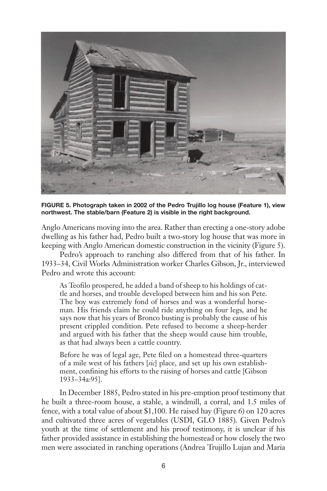

**FIGURE 5. Photograph taken in 2002 of the Pedro Trujillo log house (Feature 1), view northwest. The stable/barn (Feature 2) is visible in the right background.**

Anglo Americans moving into the area. Rather than erecting a one-story adobe dwelling as his father had, Pedro built a two-story log house that was more in keeping with Anglo American domestic construction in the vicinity (Figure 5).

Pedro's approach to ranching also differed from that of his father. In 1933–34, Civil Works Administration worker Charles Gibson, Jr., interviewed Pedro and wrote this account:

As Teofilo prospered, he added a band of sheep to his holdings of cattle and horses, and trouble developed between him and his son Pete. The boy was extremely fond of horses and was a wonderful horseman. His friends claim he could ride anything on four legs, and he says now that his years of Bronco busting is probably the cause of his present crippled condition. Pete refused to become a sheep-herder and argued with his father that the sheep would cause him trouble, as that had always been a cattle country.

Before he was of legal age, Pete filed on a homestead three-quarters of a mile west of his fathers [*sic*] place, and set up his own establishment, confining his efforts to the raising of horses and cattle [Gibson 1933–34a:95].

In December 1885, Pedro stated in his pre-emption proof testimony that he built a three-room house, a stable, a windmill, a corral, and 1.5 miles of fence, with a total value of about \$1,100. He raised hay (Figure 6) on 120 acres and cultivated three acres of vegetables (USDI, GLO 1885). Given Pedro's youth at the time of settlement and his proof testimony, it is unclear if his father provided assistance in establishing the homestead or how closely the two men were associated in ranching operations (Andrea Trujillo Lujan and Maria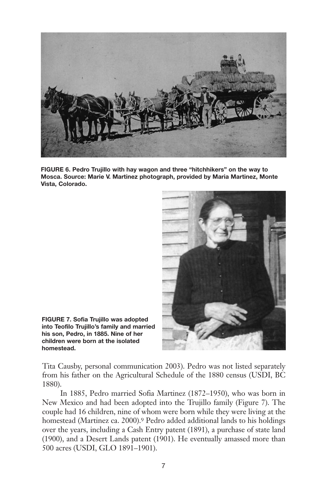

**FIGURE 6. Pedro Trujillo with hay wagon and three "hitchhikers" on the way to Mosca. Source: Marie V. Martinez photograph, provided by Maria Martinez, Monte Vista, Colorado.**



**FIGURE 7. Sofia Trujillo was adopted into Teofilo Trujillo's family and married his son, Pedro, in 1885. Nine of her children were born at the isolated homestead.**

Tita Causby, personal communication 2003). Pedro was not listed separately from his father on the Agricultural Schedule of the 1880 census (USDI, BC 1880).

In 1885, Pedro married Sofia Martinez (1872–1950), who was born in New Mexico and had been adopted into the Trujillo family (Figure 7). The couple had 16 children, nine of whom were born while they were living at the homestead (Martinez ca. 2000).9 Pedro added additional lands to his holdings over the years, including a Cash Entry patent (1891), a purchase of state land (1900), and a Desert Lands patent (1901). He eventually amassed more than 500 acres (USDI, GLO 1891–1901).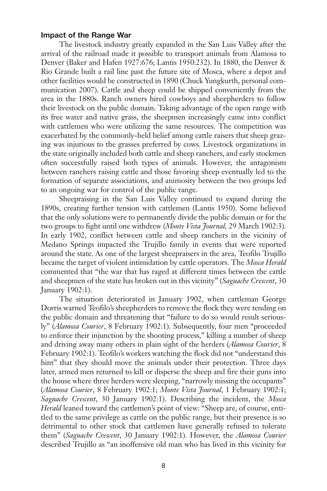#### **Impact of the Range War**

The livestock industry greatly expanded in the San Luis Valley after the arrival of the railroad made it possible to transport animals from Alamosa to Denver (Baker and Hafen 1927:676; Lantis 1950:232). In 1880, the Denver & Rio Grande built a rail line past the future site of Mosca, where a depot and other facilities would be constructed in 1890 (Chuck Yungkurth, personal communication 2007). Cattle and sheep could be shipped conveniently from the area in the 1880s. Ranch owners hired cowboys and sheepherders to follow their livestock on the public domain. Taking advantage of the open range with its free water and native grass, the sheepmen increasingly came into conflict with cattlemen who were utilizing the same resources. The competition was exacerbated by the commonly-held belief among cattle raisers that sheep grazing was injurious to the grasses preferred by cows. Livestock organizations in the state originally included both cattle and sheep ranchers, and early stockmen often successfully raised both types of animals. However, the antagonism between ranchers raising cattle and those favoring sheep eventually led to the formation of separate associations, and animosity between the two groups led to an ongoing war for control of the public range.

Sheepraising in the San Luis Valley continued to expand during the 1890s, creating further tension with cattlemen (Lantis 1950). Some believed that the only solutions were to permanently divide the public domain or for the two groups to fight until one withdrew (*Monte Vista Journal,* 29 March 1902:3). In early 1902, conflict between cattle and sheep ranchers in the vicinity of Medano Springs impacted the Trujillo family in events that were reported around the state. As one of the largest sheepraisers in the area, Teofilo Trujillo became the target of violent intimidation by cattle operators. The *Mosca Herald* commented that "the war that has raged at different times between the cattle and sheepmen of the state has broken out in this vicinity" (*Saguache Crescent*, 30 January 1902:1).

The situation deteriorated in January 1902, when cattleman George Dorris warned Teofilo's sheepherders to remove the flock they were tending on the public domain and threatening that "failure to do so would result seriously" (*Alamosa Courier*, 8 February 1902:1). Subsequently, four men "proceeded to enforce their injunction by the shooting process," killing a number of sheep and driving away many others in plain sight of the herders (*Alamosa Courier*, 8 February 1902:1). Teofilo's workers watching the flock did not "understand this hint" that they should move the animals under their protection. Three days later, armed men returned to kill or disperse the sheep and fire their guns into the house where three herders were sleeping, "narrowly missing the occupants" (*Alamosa Courier*, 8 February 1902:1; *Monte Vista Journal*, 1 February 1902:1; *Saguache Crescent*, 30 January 1902:1). Describing the incident, the *Mosca Herald* leaned toward the cattlemen's point of view: "Sheep are, of course, entitled to the same privilege as cattle on the public range, but their presence is so detrimental to other stock that cattlemen have generally refused to tolerate them" (*Saguache Crescent*, 30 January 1902:1). However, the *Alamosa Courier* described Trujillo as "an inoffensive old man who has lived in this vicinity for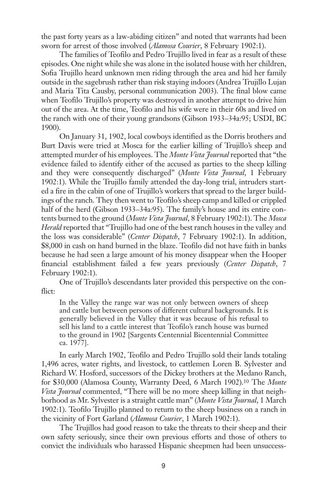the past forty years as a law-abiding citizen" and noted that warrants had been sworn for arrest of those involved (*Alamosa Courier*, 8 February 1902:1).

The families of Teofilo and Pedro Trujillo lived in fear as a result of these episodes. One night while she was alone in the isolated house with her children, Sofia Trujillo heard unknown men riding through the area and hid her family outside in the sagebrush rather than risk staying indoors (Andrea Trujillo Lujan and Maria Tita Causby, personal communication 2003). The final blow came when Teofilo Trujillo's property was destroyed in another attempt to drive him out of the area. At the time, Teofilo and his wife were in their 60s and lived on the ranch with one of their young grandsons (Gibson 1933–34a:95; USDI, BC 1900).

On January 31, 1902, local cowboys identified as the Dorris brothers and Burt Davis were tried at Mosca for the earlier killing of Trujillo's sheep and attempted murder of his employees. The *Monte Vista Journal* reported that "the evidence failed to identify either of the accused as parties to the sheep killing and they were consequently discharged" (*Monte Vista Journal*, 1 February 1902:1). While the Trujillo family attended the day-long trial, intruders started a fire in the cabin of one of Trujillo's workers that spread to the larger buildings of the ranch. They then went to Teofilo's sheep camp and killed or crippled half of the herd (Gibson 1933–34a:95). The family's house and its entire contents burned to the ground (*Monte Vista Journal*, 8 February 1902:1). The *Mosca Herald* reported that "Trujillo had one of the best ranch houses in the valley and the loss was considerable" (*Center Dispatch*, 7 February 1902:1). In addition, \$8,000 in cash on hand burned in the blaze. Teofilo did not have faith in banks because he had seen a large amount of his money disappear when the Hooper financial establishment failed a few years previously (*Center Dispatch*, 7 February 1902:1).

One of Trujillo's descendants later provided this perspective on the conflict:

In the Valley the range war was not only between owners of sheep and cattle but between persons of different cultural backgrounds. It is generally believed in the Valley that it was because of his refusal to sell his land to a cattle interest that Teofilo's ranch house was burned to the ground in 1902 [Sargents Centennial Bicentennial Committee ca. 1977].

In early March 1902, Teofilo and Pedro Trujillo sold their lands totaling 1,496 acres, water rights, and livestock, to cattlemen Loren B. Sylvester and Richard W. Hosford, successors of the Dickey brothers at the Medano Ranch, for \$30,000 (Alamosa County, Warranty Deed, 6 March 1902).10 The *Monte Vista Journal* commented, "There will be no more sheep killing in that neighborhood as Mr. Sylvester is a straight cattle man" (*Monte Vista Journal*, 1 March 1902:1). Teofilo Trujillo planned to return to the sheep business on a ranch in the vicinity of Fort Garland (*Alamosa Courier*, 1 March 1902:1).

The Trujillos had good reason to take the threats to their sheep and their own safety seriously, since their own previous efforts and those of others to convict the individuals who harassed Hispanic sheepmen had been unsuccess-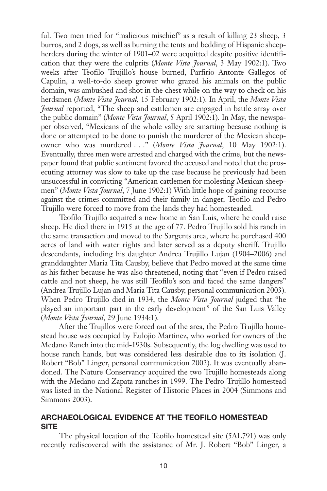ful. Two men tried for "malicious mischief" as a result of killing 23 sheep, 3 burros, and 2 dogs, as well as burning the tents and bedding of Hispanic sheepherders during the winter of 1901–02 were acquitted despite positive identification that they were the culprits (*Monte Vista Journal*, 3 May 1902:1). Two weeks after Teofilo Trujillo's house burned, Parfirio Antonte Gallegos of Capulin, a well-to-do sheep grower who grazed his animals on the public domain, was ambushed and shot in the chest while on the way to check on his herdsmen (*Monte Vista Journal*, 15 February 1902:1). In April, the *Monte Vista Journal* reported, "The sheep and cattlemen are engaged in battle array over the public domain" (*Monte Vista Journal*, 5 April 1902:1). In May, the newspaper observed, "Mexicans of the whole valley are smarting because nothing is done or attempted to be done to punish the murderer of the Mexican sheepowner who was murdered . . ." (*Monte Vista Journal*, 10 May 1902:1). Eventually, three men were arrested and charged with the crime, but the newspaper found that public sentiment favored the accused and noted that the prosecuting attorney was slow to take up the case because he previously had been unsuccessful in convicting "American cattlemen for molesting Mexican sheepmen" (*Monte Vista Journal*, 7 June 1902:1) With little hope of gaining recourse against the crimes committed and their family in danger, Teofilo and Pedro Trujillo were forced to move from the lands they had homesteaded.

Teofilo Trujillo acquired a new home in San Luis, where he could raise sheep. He died there in 1915 at the age of 77. Pedro Trujillo sold his ranch in the same transaction and moved to the Sargents area, where he purchased 400 acres of land with water rights and later served as a deputy sheriff. Trujillo descendants, including his daughter Andrea Trujillo Lujan (1904–2006) and granddaughter Maria Tita Causby, believe that Pedro moved at the same time as his father because he was also threatened, noting that "even if Pedro raised cattle and not sheep, he was still Teofilo's son and faced the same dangers" (Andrea Trujillo Lujan and Maria Tita Causby, personal communication 2003). When Pedro Trujillo died in 1934, the *Monte Vista Journal* judged that "he played an important part in the early development" of the San Luis Valley (*Monte Vista Journal*, 29 June 1934:1).

After the Trujillos were forced out of the area, the Pedro Trujillo homestead house was occupied by Eulojio Martinez, who worked for owners of the Medano Ranch into the mid-1930s. Subsequently, the log dwelling was used to house ranch hands, but was considered less desirable due to its isolation (J. Robert "Bob" Linger, personal communication 2002). It was eventually abandoned. The Nature Conservancy acquired the two Trujillo homesteads along with the Medano and Zapata ranches in 1999. The Pedro Trujillo homestead was listed in the National Register of Historic Places in 2004 (Simmons and Simmons 2003).

#### **ARCHAEOLOGICAL EVIDENCE AT THE TEOFILO HOMESTEAD SITE**

The physical location of the Teofilo homestead site (5AL791) was only recently rediscovered with the assistance of Mr. J. Robert "Bob" Linger, a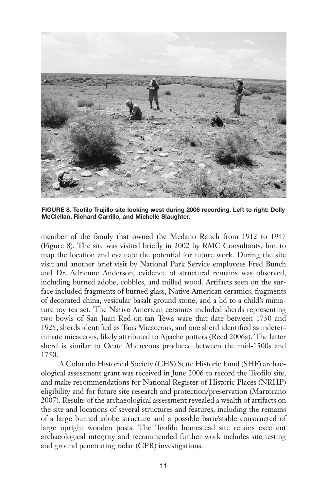

**FIGURE 8. Teofilo Trujillo site looking west during 2006 recording. Left to right: Dolly McClellan, Richard Carrillo, and Michelle Slaughter.**

member of the family that owned the Medano Ranch from 1912 to 1947 (Figure 8). The site was visited briefly in 2002 by RMC Consultants, Inc. to map the location and evaluate the potential for future work. During the site visit and another brief visit by National Park Service employees Fred Bunch and Dr. Adrienne Anderson, evidence of structural remains was observed, including burned adobe, cobbles, and milled wood. Artifacts seen on the surface included fragments of burned glass, Native American ceramics, fragments of decorated china, vesicular basalt ground stone, and a lid to a child's miniature toy tea set. The Native American ceramics included sherds representing two bowls of San Juan Red-on-tan Tewa ware that date between 1750 and 1925, sherds identified as Taos Micaceous, and one sherd identified as indeterminate micaceous, likely attributed to Apache potters (Reed 2006a). The latter sherd is similar to Ocate Micaceous produced between the mid-1500s and 1750.

A Colorado Historical Society (CHS) State Historic Fund (SHF) archaeological assessment grant was received in June 2006 to record the Teofilo site, and make recommendations for National Register of Historic Places (NRHP) eligibility and for future site research and protection/preservation (Martorano 2007). Results of the archaeological assessment revealed a wealth of artifacts on the site and locations of several structures and features, including the remains of a large burned adobe structure and a possible barn/stable constructed of large upright wooden posts. The Teofilo homestead site retains excellent archaeological integrity and recommended further work includes site testing and ground penetrating radar (GPR) investigations.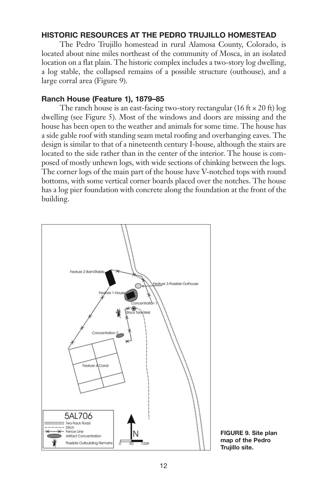## **HISTORIC RESOURCES AT THE PEDRO TRUJILLO HOMESTEAD**

The Pedro Trujillo homestead in rural Alamosa County, Colorado, is located about nine miles northeast of the community of Mosca, in an isolated location on a flat plain. The historic complex includes a two-story log dwelling, a log stable, the collapsed remains of a possible structure (outhouse), and a large corral area (Figure 9).

## **Ranch House (Feature 1), 1879–85**

The ranch house is an east-facing two-story rectangular  $(16 \text{ ft} \times 20 \text{ ft}) \log$ dwelling (see Figure 5). Most of the windows and doors are missing and the house has been open to the weather and animals for some time. The house has a side gable roof with standing seam metal roofing and overhanging eaves. The design is similar to that of a nineteenth century I-house, although the stairs are located to the side rather than in the center of the interior. The house is composed of mostly unhewn logs, with wide sections of chinking between the logs. The corner logs of the main part of the house have V-notched tops with round bottoms, with some vertical corner boards placed over the notches. The house has a log pier foundation with concrete along the foundation at the front of the building.



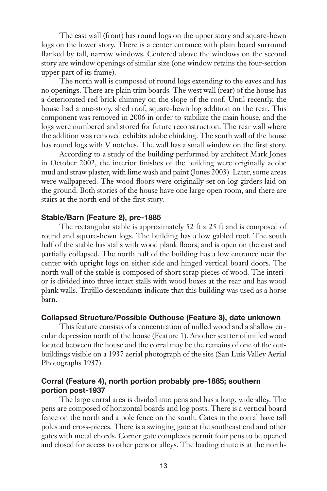The east wall (front) has round logs on the upper story and square-hewn logs on the lower story. There is a center entrance with plain board surround flanked by tall, narrow windows. Centered above the windows on the second story are window openings of similar size (one window retains the four-section upper part of its frame).

The north wall is composed of round logs extending to the eaves and has no openings. There are plain trim boards. The west wall (rear) of the house has a deteriorated red brick chimney on the slope of the roof. Until recently, the house had a one-story, shed roof, square-hewn log addition on the rear. This component was removed in 2006 in order to stabilize the main house, and the logs were numbered and stored for future reconstruction. The rear wall where the addition was removed exhibits adobe chinking. The south wall of the house has round logs with V notches. The wall has a small window on the first story.

According to a study of the building performed by architect Mark Jones in October 2002, the interior finishes of the building were originally adobe mud and straw plaster, with lime wash and paint (Jones 2003). Later, some areas were wallpapered. The wood floors were originally set on log girders laid on the ground. Both stories of the house have one large open room, and there are stairs at the north end of the first story.

## **Stable/Barn (Feature 2), pre-1885**

The rectangular stable is approximately 52 ft  $\times$  25 ft and is composed of round and square-hewn logs. The building has a low gabled roof. The south half of the stable has stalls with wood plank floors, and is open on the east and partially collapsed. The north half of the building has a low entrance near the center with upright logs on either side and hinged vertical board doors. The north wall of the stable is composed of short scrap pieces of wood. The interior is divided into three intact stalls with wood boxes at the rear and has wood plank walls. Trujillo descendants indicate that this building was used as a horse barn.

#### **Collapsed Structure/Possible Outhouse (Feature 3), date unknown**

This feature consists of a concentration of milled wood and a shallow circular depression north of the house (Feature 1). Another scatter of milled wood located between the house and the corral may be the remains of one of the outbuildings visible on a 1937 aerial photograph of the site (San Luis Valley Aerial Photographs 1937).

## **Corral (Feature 4), north portion probably pre-1885; southern portion post-1937**

The large corral area is divided into pens and has a long, wide alley. The pens are composed of horizontal boards and log posts. There is a vertical board fence on the north and a pole fence on the south. Gates in the corral have tall poles and cross-pieces. There is a swinging gate at the southeast end and other gates with metal chords. Corner gate complexes permit four pens to be opened and closed for access to other pens or alleys. The loading chute is at the north-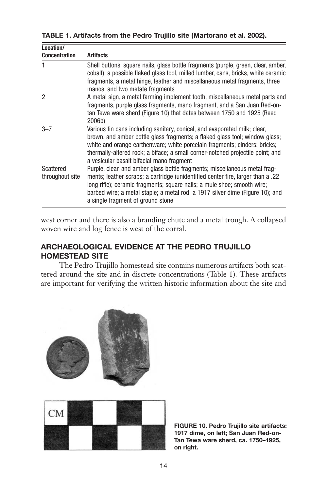**TABLE 1. Artifacts from the Pedro Trujillo site (Martorano et al. 2002).**

| Location/                    |                                                                                                                                                                                                                                                                                                                                                                      |
|------------------------------|----------------------------------------------------------------------------------------------------------------------------------------------------------------------------------------------------------------------------------------------------------------------------------------------------------------------------------------------------------------------|
| <b>Concentration</b>         | <b>Artifacts</b>                                                                                                                                                                                                                                                                                                                                                     |
| 1                            | Shell buttons, square nails, glass bottle fragments (purple, green, clear, amber,<br>cobalt), a possible flaked glass tool, milled lumber, cans, bricks, white ceramic<br>fragments, a metal hinge, leather and miscellaneous metal fragments, three<br>manos, and two metate fragments                                                                              |
| 2                            | A metal sign, a metal farming implement tooth, miscellaneous metal parts and<br>fragments, purple glass fragments, mano fragment, and a San Juan Red-on-<br>tan Tewa ware sherd (Figure 10) that dates between 1750 and 1925 (Reed<br>2006b)                                                                                                                         |
| $3 - 7$                      | Various tin cans including sanitary, conical, and evaporated milk; clear,<br>brown, and amber bottle glass fragments; a flaked glass tool; window glass;<br>white and orange earthenware; white porcelain fragments; cinders; bricks;<br>thermally-altered rock; a biface; a small corner-notched projectile point; and<br>a vesicular basalt bifacial mano fragment |
| Scattered<br>throughout site | Purple, clear, and amber glass bottle fragments; miscellaneous metal frag-<br>nents; leather scraps; a cartridge (unidentified center fire, larger than a .22<br>long rifle); ceramic fragments; square nails; a mule shoe; smooth wire;<br>barbed wire; a metal staple; a metal rod; a 1917 silver dime (Figure 10); and<br>a single fragment of ground stone       |

west corner and there is also a branding chute and a metal trough. A collapsed woven wire and log fence is west of the corral.

# **ARCHAEOLOGICAL EVIDENCE AT THE PEDRO TRUJILLO HOMESTEAD SITE**

The Pedro Trujillo homestead site contains numerous artifacts both scattered around the site and in discrete concentrations (Table 1). These artifacts are important for verifying the written historic information about the site and



**FIGURE 10. Pedro Trujillo site artifacts: 1917 dime, on left; San Juan Red-on-Tan Tewa ware sherd, ca. 1750–1925, on right.**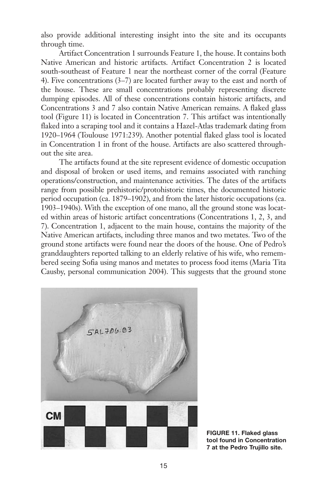also provide additional interesting insight into the site and its occupants through time.

Artifact Concentration 1 surrounds Feature 1, the house. It contains both Native American and historic artifacts. Artifact Concentration 2 is located south-southeast of Feature 1 near the northeast corner of the corral (Feature 4). Five concentrations (3–7) are located further away to the east and north of the house. These are small concentrations probably representing discrete dumping episodes. All of these concentrations contain historic artifacts, and Concentrations 3 and 7 also contain Native American remains. A flaked glass tool (Figure 11) is located in Concentration 7. This artifact was intentionally flaked into a scraping tool and it contains a Hazel-Atlas trademark dating from 1920–1964 (Toulouse 1971:239). Another potential flaked glass tool is located in Concentration 1 in front of the house. Artifacts are also scattered throughout the site area.

The artifacts found at the site represent evidence of domestic occupation and disposal of broken or used items, and remains associated with ranching operations/construction, and maintenance activities. The dates of the artifacts range from possible prehistoric/protohistoric times, the documented historic period occupation (ca. 1879–1902), and from the later historic occupations (ca. 1903–1940s). With the exception of one mano, all the ground stone was located within areas of historic artifact concentrations (Concentrations 1, 2, 3, and 7). Concentration 1, adjacent to the main house, contains the majority of the Native American artifacts, including three manos and two metates. Two of the ground stone artifacts were found near the doors of the house. One of Pedro's granddaughters reported talking to an elderly relative of his wife, who remembered seeing Sofia using manos and metates to process food items (Maria Tita Causby, personal communication 2004). This suggests that the ground stone



**FIGURE 11. Flaked glass tool found in Concentration 7 at the Pedro Trujillo site.**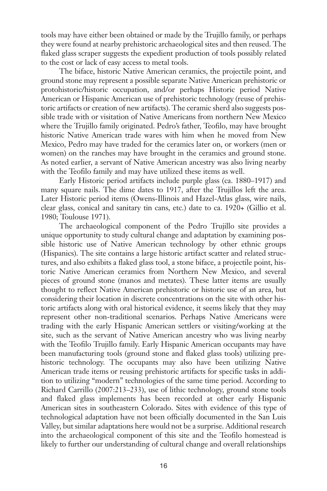tools may have either been obtained or made by the Trujillo family, or perhaps they were found at nearby prehistoric archaeological sites and then reused. The flaked glass scraper suggests the expedient production of tools possibly related to the cost or lack of easy access to metal tools.

The biface, historic Native American ceramics, the projectile point, and ground stone may represent a possible separate Native American prehistoric or protohistoric/historic occupation, and/or perhaps Historic period Native American or Hispanic American use of prehistoric technology (reuse of prehistoric artifacts or creation of new artifacts). The ceramic sherd also suggests possible trade with or visitation of Native Americans from northern New Mexico where the Trujillo family originated. Pedro's father, Teofilo, may have brought historic Native American trade wares with him when he moved from New Mexico, Pedro may have traded for the ceramics later on, or workers (men or women) on the ranches may have brought in the ceramics and ground stone. As noted earlier, a servant of Native American ancestry was also living nearby with the Teofilo family and may have utilized these items as well.

Early Historic period artifacts include purple glass (ca. 1880–1917) and many square nails. The dime dates to 1917, after the Trujillos left the area. Later Historic period items (Owens-Illinois and Hazel-Atlas glass, wire nails, clear glass, conical and sanitary tin cans, etc.) date to ca. 1920+ (Gillio et al. 1980; Toulouse 1971).

The archaeological component of the Pedro Trujillo site provides a unique opportunity to study cultural change and adaptation by examining possible historic use of Native American technology by other ethnic groups (Hispanics). The site contains a large historic artifact scatter and related structures, and also exhibits a flaked glass tool, a stone biface, a projectile point, historic Native American ceramics from Northern New Mexico, and several pieces of ground stone (manos and metates). These latter items are usually thought to reflect Native American prehistoric or historic use of an area, but considering their location in discrete concentrations on the site with other historic artifacts along with oral historical evidence, it seems likely that they may represent other non-traditional scenarios. Perhaps Native Americans were trading with the early Hispanic American settlers or visiting/working at the site, such as the servant of Native American ancestry who was living nearby with the Teofilo Trujillo family. Early Hispanic American occupants may have been manufacturing tools (ground stone and flaked glass tools) utilizing prehistoric technology. The occupants may also have been utilizing Native American trade items or reusing prehistoric artifacts for specific tasks in addition to utilizing "modern" technologies of the same time period. According to Richard Carrillo (2007:213–233), use of lithic technology, ground stone tools and flaked glass implements has been recorded at other early Hispanic American sites in southeastern Colorado. Sites with evidence of this type of technological adaptation have not been officially documented in the San Luis Valley, but similar adaptations here would not be a surprise. Additional research into the archaeological component of this site and the Teofilo homestead is likely to further our understanding of cultural change and overall relationships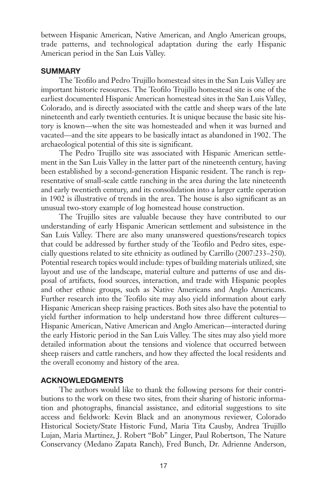between Hispanic American, Native American, and Anglo American groups, trade patterns, and technological adaptation during the early Hispanic American period in the San Luis Valley.

## **SUMMARY**

The Teofilo and Pedro Trujillo homestead sites in the San Luis Valley are important historic resources. The Teofilo Trujillo homestead site is one of the earliest documented Hispanic American homestead sites in the San Luis Valley, Colorado, and is directly associated with the cattle and sheep wars of the late nineteenth and early twentieth centuries. It is unique because the basic site history is known—when the site was homesteaded and when it was burned and vacated—and the site appears to be basically intact as abandoned in 1902. The archaeological potential of this site is significant.

The Pedro Trujillo site was associated with Hispanic American settlement in the San Luis Valley in the latter part of the nineteenth century, having been established by a second-generation Hispanic resident. The ranch is representative of small-scale cattle ranching in the area during the late nineteenth and early twentieth century, and its consolidation into a larger cattle operation in 1902 is illustrative of trends in the area. The house is also significant as an unusual two-story example of log homestead house construction.

The Trujillo sites are valuable because they have contributed to our understanding of early Hispanic American settlement and subsistence in the San Luis Valley. There are also many unanswered questions/research topics that could be addressed by further study of the Teofilo and Pedro sites, especially questions related to site ethnicity as outlined by Carrillo (2007:233–250). Potential research topics would include: types of building materials utilized, site layout and use of the landscape, material culture and patterns of use and disposal of artifacts, food sources, interaction, and trade with Hispanic peoples and other ethnic groups, such as Native Americans and Anglo Americans. Further research into the Teofilo site may also yield information about early Hispanic American sheep raising practices. Both sites also have the potential to yield further information to help understand how three different cultures— Hispanic American, Native American and Anglo American—interacted during the early Historic period in the San Luis Valley. The sites may also yield more detailed information about the tensions and violence that occurred between sheep raisers and cattle ranchers, and how they affected the local residents and the overall economy and history of the area.

## **ACKNOWLEDGMENTS**

The authors would like to thank the following persons for their contributions to the work on these two sites, from their sharing of historic information and photographs, financial assistance, and editorial suggestions to site access and fieldwork: Kevin Black and an anonymous reviewer, Colorado Historical Society/State Historic Fund, Maria Tita Causby, Andrea Trujillo Lujan, Maria Martinez, J. Robert "Bob" Linger, Paul Robertson, The Nature Conservancy (Medano Zapata Ranch), Fred Bunch, Dr. Adrienne Anderson,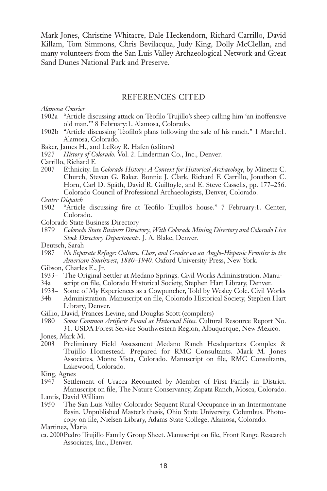Mark Jones, Christine Whitacre, Dale Heckendorn, Richard Carrillo, David Killam, Tom Simmons, Chris Bevilacqua, Judy King, Dolly McClellan, and many volunteers from the San Luis Valley Archaeological Network and Great Sand Dunes National Park and Preserve.

### REFERENCES CITED

*Alamosa Courier*

- 1902a "Article discussing attack on Teofilo Trujillo's sheep calling him 'an inoffensive old man.'" 8 February:1. Alamosa, Colorado.
- 1902b "Article discussing Teofilo's plans following the sale of his ranch." 1 March:1. Alamosa, Colorado.
- Baker, James H., and LeRoy R. Hafen (editors)
- 1927 *History of Colorado*. Vol. 2. Linderman Co., Inc., Denver.
- Carrillo, Richard F.
- 2007 Ethnicity. In *Colorado History: A Context for Historical Archaeology*, by Minette C. Church, Steven G. Baker, Bonnie J. Clark, Richard F. Carrillo, Jonathon C. Horn, Carl D. Späth, David R. Guilfoyle, and E. Steve Cassells, pp. 177–256. Colorado Council of Professional Archaeologists, Denver, Colorado.
- *Center Dispatch*
- 1902 "Article discussing fire at Teofilo Trujillo's house." 7 February:1. Center, Colorado.
- Colorado State Business Directory
- 1879 *Colorado State Business Directory, With Colorado Mining Directory and Colorado Live Stock Directory Departments*. J. A. Blake, Denver.
- Deutsch, Sarah
- 1987 *No Separate Refuge: Culture, Class, and Gender on an Anglo-Hispanic Frontier in the American Southwest, 1880–1940.* Oxford University Press, New York.
- Gibson, Charles E., Jr.
- 1933– The Original Settler at Medano Springs. Civil Works Administration. Manu-
- 34a script on file, Colorado Historical Society, Stephen Hart Library, Denver.
- Some of My Experiences as a Cowpuncher, Told by Wesley Cole. Civil Works
- 34b Administration. Manuscript on file, Colorado Historical Society, Stephen Hart Library, Denver.
- Gillio, David, Frances Levine, and Douglas Scott (compilers)
- 1980 *Some Common Artifacts Found at Historical Sites*. Cultural Resource Report No. 31. USDA Forest Service Southwestern Region, Albuquerque, New Mexico.

2003 Preliminary Field Assessment Medano Ranch Headquarters Complex & Trujillo Homestead. Prepared for RMC Consultants. Mark M. Jones Associates, Monte Vista, Colorado. Manuscript on file, RMC Consultants, Lakewood, Colorado.

King, Agnes

- 1947 Settlement of Uracca Recounted by Member of First Family in District. Manuscript on file, The Nature Conservancy, Zapata Ranch, Mosca, Colorado.
- Lantis, David William
- 1950 The San Luis Valley Colorado: Sequent Rural Occupance in an Intermontane Basin. Unpublished Master's thesis, Ohio State University, Columbus. Photocopy on file, Nielsen Library, Adams State College, Alamosa, Colorado.

Martinez, Maria

ca. 2000Pedro Trujillo Family Group Sheet. Manuscript on file, Front Range Research Associates, Inc., Denver.

Jones, Mark M.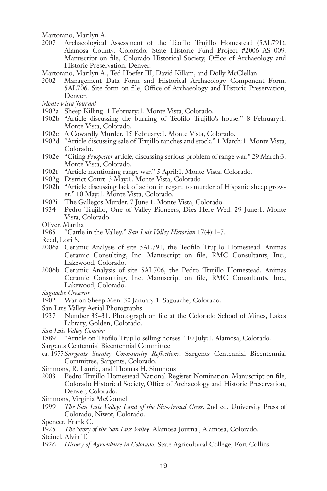Martorano, Marilyn A.

- Archaeological Assessment of the Teofilo Trujillo Homestead (5AL791), Alamosa County, Colorado. State Historic Fund Project #2006–AS–009. Manuscript on file, Colorado Historical Society, Office of Archaeology and Historic Preservation, Denver.
- Martorano, Marilyn A., Ted Hoefer III, David Killam, and Dolly McClellan
- 2002 Management Data Form and Historical Archaeology Component Form, 5AL706. Site form on file, Office of Archaeology and Historic Preservation, Denver.
- *Monte Vista Journal*
- 1902a Sheep Killing. 1 February:1. Monte Vista, Colorado.
- 1902b "Article discussing the burning of Teofilo Trujillo's house." 8 February:1. Monte Vista, Colorado.
- 1902c A Cowardly Murder. 15 February:1. Monte Vista, Colorado.
- 1902d "Article discussing sale of Trujillo ranches and stock." 1 March:1. Monte Vista, Colorado.
- 1902e "Citing *Prospector* article, discussing serious problem of range war." 29 March:3. Monte Vista, Colorado.
- 1902f "Article mentioning range war." 5 April:1. Monte Vista, Colorado.
- 1902g District Court. 3 May:1. Monte Vista, Colorado
- 1902h "Article discussing lack of action in regard to murder of Hispanic sheep grower." 10 May:1. Monte Vista, Colorado.
- 1902i The Gallegos Murder. 7 June:1. Monte Vista, Colorado.
- 1934 Pedro Trujillo, One of Valley Pioneers, Dies Here Wed. 29 June:1. Monte Vista, Colorado.
- Oliver, Martha
- 1985 "Cattle in the Valley." *San Luis Valley Historian* 17(4):1–7.
- Reed, Lori S.
- 2006a Ceramic Analysis of site 5AL791, the Teofilo Trujillo Homestead. Animas Ceramic Consulting, Inc. Manuscript on file, RMC Consultants, Inc., Lakewood, Colorado.
- 2006b Ceramic Analysis of site 5AL706, the Pedro Trujillo Homestead. Animas Ceramic Consulting, Inc. Manuscript on file, RMC Consultants, Inc., Lakewood, Colorado.
- *Saguache Crescent*
- 1902 War on Sheep Men. 30 January:1. Saguache, Colorado.
- San Luis Valley Aerial Photographs
- Number 35–31. Photograph on file at the Colorado School of Mines, Lakes Library, Golden, Colorado.
- *San Luis Valley Courier*
- 1889 "Article on Teofilo Trujillo selling horses." 10 July:1. Alamosa, Colorado.

Sargents Centennial Bicentennial Committee

- ca. 1977*Sargents Stanley Community Reflections*. Sargents Centennial Bicentennial Committee, Sargents, Colorado.
- Simmons, R. Laurie, and Thomas H. Simmons
- 2003 Pedro Trujillo Homestead National Register Nomination. Manuscript on file, Colorado Historical Society, Office of Archaeology and Historic Preservation, Denver, Colorado.
- Simmons, Virginia McConnell<br>1999 *The San Luis Valley: La*
- The San Luis Valley: Land of the Six-Armed Cross. 2nd ed. University Press of Colorado, Niwot, Colorado.
- Spencer, Frank C.<br>1925 The Story
- The Story of the San Luis Valley. Alamosa Journal, Alamosa, Colorado.
- Steinel, Alvin T.
- 1926 *History of Agriculture in Colorado*. State Agricultural College, Fort Collins.